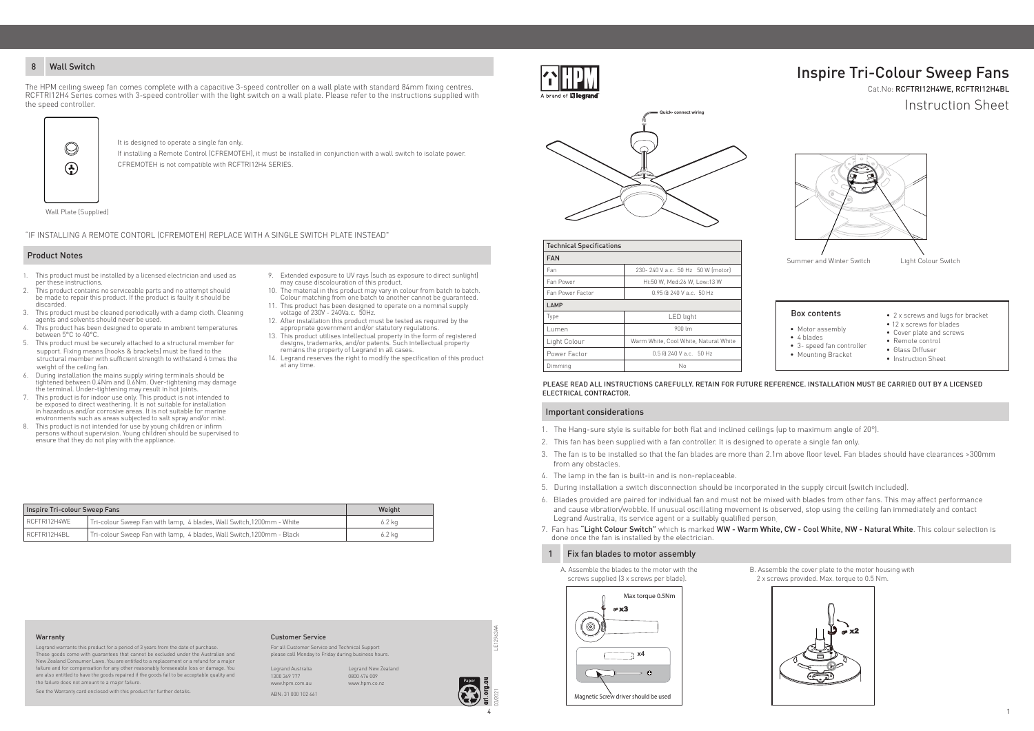# Inspire Tri-Colour Sweep Fans Cat.No: RCFTRI12H4WE, RCFTRI12H4BL

# Instruction Sheet

### PLEASE READ ALL INSTRUCTIONS CAREFULLY. RETAIN FOR FUTURE REFERENCE. INSTALLATION MUST BE CARRIED OUT BY A LICENSED ELECTRICAL CONTRACTOR.

### 1 Fix fan blades to motor assembly



A. Assemble the blades to the motor with the screws supplied (3 x screws per blade).

B. Assemble the cover plate to the motor housing with 2 x screws provided. Max. torque to 0.5 Nm.

- 1. The Hang-sure style is suitable for both flat and inclined ceilings (up to maximum angle of 20°).
- 2. This fan has been supplied with a fan controller. It is designed to operate a single fan only.
- 3. The fan is to be installed so that the fan blades are more than 2.1m above floor level. Fan blades should have clearances >300mm from any obstacles.
- 4. The lamp in the fan is built-in and is non-replaceable.
- 5. During installation a switch disconnection should be incorporated in the supply circuit (switch included).
- 6. Blades provided are paired for individual fan and must not be mixed with blades from other fans. This may affect performance and cause vibration/wobble. If unusual oscillating movement is observed, stop using the ceiling fan immediately and contact Legrand Australia, its service agent or a suitably qualified person.
- 7. Fan has "Light Colour Switch" which is marked WW Warm White, CW Cool White, NW Natural White. This colour selection is done once the fan is installed by the electrician.



### Important considerations



### Box contents

- Motor assembly
- 4 blades
- 3- speed fan controller
- Mounting Bracket
- 2 x screws and lugs for bracket
- 12 x screws for blades
- Cover plate and screws • Remote control
- Glass Diffuser
- Instruction Sheet
- 

The HPM ceiling sweep fan comes complete with a capacitive 3-speed controller on a wall plate with standard 84mm fixing centres. RCFTRI12H4 Series comes with 3-speed controller with the light switch on a wall plate. Please refer to the instructions supplied with the speed controller.



### 8 Wall Switch

| <b>Technical Specifications</b> |                                       |  |
|---------------------------------|---------------------------------------|--|
| <b>FAN</b>                      |                                       |  |
| Fan                             | 230-240 V a.c. 50 Hz 50 W (motor)     |  |
| Fan Power                       | Hi:50 W, Med:26 W, Low:13 W           |  |
| Fan Power Factor                | 0.95 @ 240 V a.c. 50 Hz               |  |
| LAMP                            |                                       |  |
| Type                            | LED light                             |  |
| Lumen                           | $900 \, \text{Im}$                    |  |
| Light Colour                    | Warm White, Cool White, Natural White |  |
| Power Factor                    | $0.5$ @ 240 V a.c. 50 Hz              |  |
| Dimming                         | Nο                                    |  |

It is designed to operate a single fan only.

If installing a Remote Control (CFREMOTEH), it must be installed in conjunction with a wall switch to isolate power. CFREMOTEH is not compatible with RCFTRI12H4 SERIES.

Wall Plate (Supplied)

### Product Notes

- 1. This product must be installed by a licensed electrician and used as per these instructions.
- 2. This product contains no serviceable parts and no attempt should be made to repair this product. If the product is faulty it should be discarded.
- 3. This product must be cleaned periodically with a damp cloth. Cleaning agents and solvents should never be used.
- 4. This product has been designed to operate in ambient temperatures between 5°C to 40°C.
- 5. This product must be securely attached to a structural member for support. Fixing means (hooks & brackets) must be fixed to the structural member with sufficient strength to withstand 4 times the weight of the ceiling fan.
- 6. During installation the mains supply wiring terminals should be tightened between 0.4Nm and 0.6Nm. Over-tightening may damage the terminal. Under-tightening may result in hot joints.
- 7. This product is for indoor use only. This product is not intended to be exposed to direct weathering. It is not suitable for installation in hazardous and/or corrosive areas. It is not suitable for marine environments such as areas subjected to salt spray and/or mist.
- This product is not intended for use by young children or infirm persons without supervision. Young children should be supervised to ensure that they do not play with the appliance.
- 9. Extended exposure to UV rays (such as exposure to direct sunlight) may cause discolouration of this product.
- 10. The material in this product may vary in colour from batch to batch. Colour matching from one batch to another cannot be quaranteed.
- 11. This product has been designed to operate on a nominal supply voltage of 230V - 240Va.c. 50Hz.
- 12. After installation this product must be tested as required by the appropriate government and/or statutory regulations.
- 13. This product utilises intellectual property in the form of registered designs, trademarks, and/or patents. Such intellectual property remains the property of Legrand in all cases.
- 14. Legrand reserves the right to modify the specification of this product at any time.

| Inspire Tri-colour Sweep Fans |                                                                       | Weight   |
|-------------------------------|-----------------------------------------------------------------------|----------|
| RCFTRI12H4WE                  | Tri-colour Sweep Fan with lamp, 4 blades, Wall Switch, 1200mm - White | $6.2$ kg |
| RCFTRI12H4BL                  | Tri-colour Sweep Fan with lamp, 4 blades, Wall Switch, 1200mm - Black | $6.2$ kg |

"IF INSTALLING A REMOTE CONTORL (CFREMOTEH) REPLACE WITH A SINGLE SWITCH PLATE INSTEAD"

### Warranty

Legrand warrants this product for a period of 3 years from the date of purchase. These goods come with guarantees that cannot be excluded under the Australian and New Zealand Consumer Laws. You are entitled to a replacement or a refund for a major failure and for compensation for any other reasonably foreseeable loss or damage. You are also entitled to have the goods repaired if the goods fail to be acceptable quality and the failure does not amount to a major failure.

See the Warranty card enclosed with this product for further details.

### Customer Service

For all Customer Service and Technical Support please call Monday to Friday during business hours.

1300 369 777

Legrand Australia www.hpm.com.au Legrand New Zealand 0800 476 009 www.hpm.co.nz

ABN: 31 000 102 661





Summer and Winter Switch Light Colour Switch